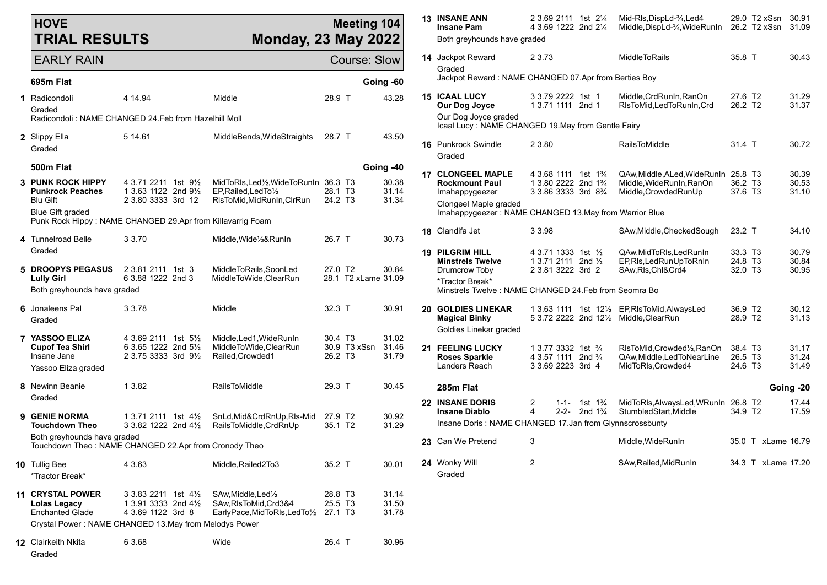| <b>HOVE</b><br><b>TRIAL RESULTS</b>                                                                      | <b>Meeting 104</b><br><b>Monday, 23 May 2022</b>                                                        |                                                                                                        | <b>13 INSANE ANN</b><br><b>Insane Pam</b><br>Both greyhounds have graded | 2 3.69 2111 1st 21/4<br>4 3.69 1222 2nd 21/4 |                                                                                           | Mid-RIs, DispLd-3/4, Led4<br>Middle, DispLd-3/4, WideRunIn                                     |                                          | 29.0 T2 xSsn 30.91<br>26.2 T2 xSsn 31.09                                                    |                                                       |                    |                         |
|----------------------------------------------------------------------------------------------------------|---------------------------------------------------------------------------------------------------------|--------------------------------------------------------------------------------------------------------|--------------------------------------------------------------------------|----------------------------------------------|-------------------------------------------------------------------------------------------|------------------------------------------------------------------------------------------------|------------------------------------------|---------------------------------------------------------------------------------------------|-------------------------------------------------------|--------------------|-------------------------|
| <b>EARLY RAIN</b>                                                                                        |                                                                                                         |                                                                                                        | <b>Course: Slow</b>                                                      |                                              | <b>14</b> Jackpot Reward<br>Graded                                                        | 2 3 7 3                                                                                        |                                          | MiddleToRails                                                                               | 35.8 T                                                |                    | 30.43                   |
| 695m Flat                                                                                                |                                                                                                         |                                                                                                        |                                                                          | Going -60                                    | Jackpot Reward: NAME CHANGED 07.Apr from Berties Boy                                      |                                                                                                |                                          |                                                                                             |                                                       |                    |                         |
| 1 Radicondoli<br>Graded                                                                                  | 4 14.94                                                                                                 | Middle                                                                                                 | 28.9 T                                                                   | 43.28                                        | <b>15 ICAAL LUCY</b><br>Our Dog Joyce                                                     | 3 3.79 2222 1st 1<br>1 3.71 1111 2nd 1                                                         |                                          | Middle, CrdRunIn, RanOn<br>RIsToMid, LedToRunIn, Crd                                        | 27.6 T <sub>2</sub><br>26.2 T <sub>2</sub>            |                    | 31.29<br>31.37          |
| Radicondoli: NAME CHANGED 24.Feb from Hazelhill Moll                                                     |                                                                                                         |                                                                                                        |                                                                          |                                              | Our Dog Joyce graded<br>Icaal Lucy: NAME CHANGED 19. May from Gentle Fairy                |                                                                                                |                                          |                                                                                             |                                                       |                    |                         |
| 2 Slippy Ella<br>Graded                                                                                  | 5 14 61                                                                                                 | MiddleBends, WideStraights                                                                             | 28.7 T                                                                   | 43.50                                        | 16 Punkrock Swindle<br>Graded                                                             | 2 3.80                                                                                         |                                          | RailsToMiddle                                                                               | 31.4 T                                                |                    | 30.72                   |
| 500m Flat                                                                                                |                                                                                                         |                                                                                                        |                                                                          | Going -40                                    | <b>17 CLONGEEL MAPLE</b>                                                                  | 4 3.68 1111 1st 1 <sup>3</sup> / <sub>4</sub>                                                  |                                          | QAw, Middle, ALed, Wide Run In 25.8 T3                                                      |                                                       |                    | 30.39                   |
| 3 PUNK ROCK HIPPY<br><b>Punkrock Peaches</b>                                                             | 4 3.71 2211 1st 91/2<br>1 3.63 1122 2nd 91/2                                                            | MidToRIs, Led <sup>1</sup> / <sub>2</sub> , WideToRunIn<br>EP, Railed, Led To 1/2                      | 36.3 T3<br>28.1 T3<br>24.2 T3                                            | 30.38<br>31.14<br>31.34                      | <b>Rockmount Paul</b><br>Imahappygeezer                                                   | 1 3.80 2222 2nd 1 <sup>3</sup> / <sub>4</sub><br>3 3.86 3333 3rd 8 <sup>3</sup> / <sub>4</sub> |                                          | Middle, WideRunIn, RanOn<br>Middle, Crowded RunUp                                           | 36.2 T <sub>3</sub><br>37.6 T3                        |                    | 30.53<br>31.10          |
| <b>Blu Gift</b><br><b>Blue Gift graded</b><br>Punk Rock Hippy: NAME CHANGED 29.Apr from Killavarrig Foam | 2 3.80 3333 3rd 12                                                                                      | RIsToMid, MidRunIn, CIrRun                                                                             |                                                                          |                                              | Clongeel Maple graded<br>Imahappygeezer: NAME CHANGED 13.May from Warrior Blue            |                                                                                                |                                          |                                                                                             |                                                       |                    |                         |
| 4 Tunnelroad Belle                                                                                       | 3 3.70                                                                                                  | Middle, Wide 1/2& Run In                                                                               | 26.7 T                                                                   | 30.73                                        | 18 Clandifa Jet                                                                           | 3 3.98                                                                                         |                                          | SAw, Middle, Checked Sough                                                                  | 23.2 T                                                |                    | 34.10                   |
| Graded                                                                                                   |                                                                                                         |                                                                                                        |                                                                          |                                              | <b>19 PILGRIM HILL</b><br><b>Minstrels Twelve</b>                                         | 4 3.71 1333 1st 1/2<br>1 3.71 2111 2nd $\frac{1}{2}$                                           |                                          | QAw, MidToRIs, LedRunIn<br>EP, RIs, Led Run Up To Rn In                                     | 33.3 T3<br>24.8 T3                                    |                    | 30.79<br>30.84          |
| 5 DROOPYS PEGASUS<br><b>Lully Girl</b><br>Both greyhounds have graded                                    | 2 3.81 2111 1st 3<br>6 3.88 1222 2nd 3                                                                  | MiddleToRails.SoonLed<br>MiddleToWide,ClearRun                                                         | 27.0 T <sub>2</sub><br>28.1 T2 xLame 31.09                               | 30.84                                        | Drumcrow Toby<br>*Tractor Break*<br>Minstrels Twelve: NAME CHANGED 24. Feb from Seomra Bo | 2 3.81 3222 3rd 2                                                                              |                                          | SAw, RIs, Chl&Crd4                                                                          | 32.0 T3                                               |                    | 30.95                   |
| 6 Jonaleens Pal<br>Graded                                                                                | 3 3.78                                                                                                  | Middle                                                                                                 | 32.3 T                                                                   | 30.91                                        | <b>20 GOLDIES LINEKAR</b><br><b>Magical Binky</b><br>Goldies Linekar graded               |                                                                                                |                                          | 1 3.63 1111 1st 121/2 EP, RIs To Mid, Always Led<br>5 3.72 2222 2nd 121/2 Middle, Clear Run | 36.9 T2<br>28.9 T2                                    |                    | 30.12<br>31.13          |
| 7 YASSOO ELIZA<br><b>Cupof Tea Shirl</b><br>Insane Jane<br>Yassoo Eliza graded                           | 4 3.69 2111 1st 5 <sup>1</sup> / <sub>2</sub><br>6 3.65 1222 2nd $5\frac{1}{2}$<br>2 3.75 3333 3rd 91/2 | Middle, Led1, WideRunIn<br>MiddleToWide, ClearRun<br>Railed, Crowded1                                  | 30.4 T <sub>3</sub><br>30.9 T3 xSsn<br>26.2 T <sub>3</sub>               | 31.02<br>31.46<br>31.79                      | 21 FEELING LUCKY<br><b>Roses Sparkle</b><br>Landers Reach                                 | 1 3.77 3332 1st 3/4<br>4 3.57 1111 2nd <sup>3</sup> / <sub>4</sub><br>3 3.69 2223 3rd 4        |                                          | RIsToMid, Crowded 1/2, RanOn<br>QAw, Middle, Led To Near Line<br>MidToRIs, Crowded4         | 38.4 T3<br>26.5 T <sub>3</sub><br>24.6 T <sub>3</sub> |                    | 31.17<br>31.24<br>31.49 |
| 8 Newinn Beanie                                                                                          | 1 3.82                                                                                                  | <b>RailsToMiddle</b>                                                                                   | 29.3 T                                                                   | 30.45                                        | 285m Flat                                                                                 |                                                                                                |                                          |                                                                                             |                                                       |                    | Going -20               |
| Graded<br>9 GENIE NORMA                                                                                  | 1 3.71 2111 1st 41/ <sub>2</sub>                                                                        | SnLd, Mid&CrdRnUp, RIs-Mid                                                                             | 27.9 T2                                                                  | 30.92                                        | <b>22 INSANE DORIS</b><br><b>Insane Diablo</b>                                            | 2<br>$1 - 1 -$<br>$\overline{4}$<br>$2 - 2 -$                                                  | 1st $1\frac{3}{4}$<br>2nd $1\frac{3}{4}$ | MidToRIs, AlwaysLed, WRunIn 26.8 T2<br>StumbledStart, Middle                                | 34.9 T2                                               |                    | 17.44<br>17.59          |
| <b>Touchdown Theo</b>                                                                                    | 3 3.82 1222 2nd 41/2                                                                                    | RailsToMiddle.CrdRnUp                                                                                  | 35.1 T2                                                                  | 31.29                                        | Insane Doris: NAME CHANGED 17.Jan from Glynnscrossbunty                                   |                                                                                                |                                          |                                                                                             |                                                       |                    |                         |
| Both greyhounds have graded<br>Touchdown Theo: NAME CHANGED 22.Apr from Cronody Theo                     |                                                                                                         |                                                                                                        |                                                                          |                                              | 23 Can We Pretend                                                                         | 3                                                                                              |                                          | Middle, WideRunIn                                                                           |                                                       | 35.0 T xLame 16.79 |                         |
| 10 Tullig Bee<br>*Tractor Break*                                                                         | 4 3.63                                                                                                  | Middle, Railed2To3                                                                                     | 35.2 T                                                                   | 30.01                                        | 24 Wonky Will<br>Graded                                                                   | $\overline{c}$                                                                                 |                                          | SAw, Railed, Mid RunIn                                                                      |                                                       | 34.3 T xLame 17.20 |                         |
| 11 CRYSTAL POWER<br><b>Lolas Legacy</b><br><b>Enchanted Glade</b>                                        | 3 3.83 2211 1st 41/ <sub>2</sub><br>1 3.91 3333 2nd 41/2<br>4 3.69 1122 3rd 8                           | SAw, Middle, Led <sup>1</sup> / <sub>2</sub><br>SAw, RIsToMid, Crd3&4<br>EarlyPace, MidToRIs, LedTo1/2 | 28.8 T3<br>25.5 T3<br>27.1 T3                                            | 31.14<br>31.50<br>31.78                      |                                                                                           |                                                                                                |                                          |                                                                                             |                                                       |                    |                         |
| Crystal Power: NAME CHANGED 13.May from Melodys Power                                                    |                                                                                                         |                                                                                                        |                                                                          |                                              |                                                                                           |                                                                                                |                                          |                                                                                             |                                                       |                    |                         |
| 12 Clairkeith Nkita<br>Graded                                                                            | 6 3.68                                                                                                  | Wide                                                                                                   | 26.4 T                                                                   | 30.96                                        |                                                                                           |                                                                                                |                                          |                                                                                             |                                                       |                    |                         |